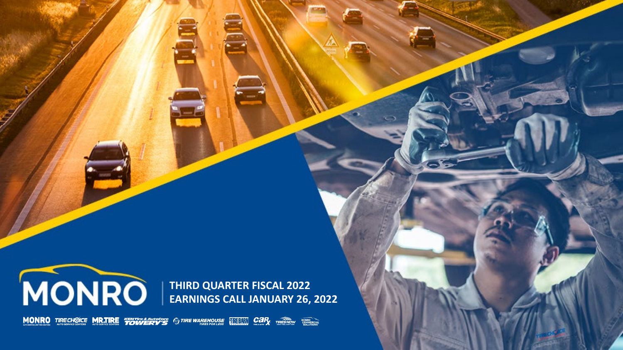

**THIRD QUARTER FISCAL 2022 EARNINGS CALL JANUARY 26, 2022**

**MONRO** TIRECHOICE MR.TIRE "FOWERY'S TO TIRE WAREHOUSE THE TIME CAR TIRES NOW THE REAL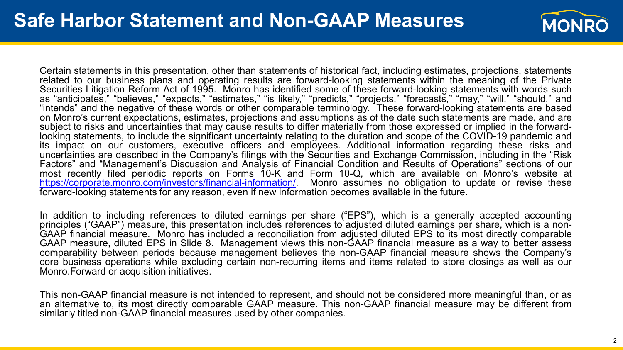

Certain statements in this presentation, other than statements of historical fact, including estimates, projections, statements related to our business plans and operating results are forward-looking statements within the meaning of the Private Securities Litigation Reform Act of 1995. Monro has identified some of these forward-looking statements with words such as "anticipates," "believes," "expects," "estimates," "is likely," "predicts," "projects," "forecasts," "may," "will," "should," and "intends" and the negative of these words or other comparable terminology. These forward-looking statements are based on Monro's current expectations, estimates, projections and assumptions as of the date such statements are made, and are<br>subject to risks and uncertainties that may cause results to differ materially from those expressed o looking statements, to include the significant uncertainty relating to the duration and scope of the COVID-19 pandemic and its impact on our customers, executive officers and employees. Additional information regarding these risks and uncertainties are described in the Company's filings with the Securities and Exchange Commission, including in the "Risk Factors" and "Management's Discussion and Analysis of Financial Condition and Results of Operations" sections of our most recently filed periodic reports on Forms 10-K and Form 10-Q, which are available on Monro's website at [https://corporate.monro.com/investors/financial-information/.](https://corporate.monro.com/investors/financial-information/) Monro assumes no obligation to update or revise these forward-looking statements for any reason, even if new information becomes available in the future.

In addition to including references to diluted earnings per share ("EPS"), which is a generally accepted accounting principles ("GAAP") measure, this presentation includes references to adjusted diluted earnings per share, which is a non-<br>GAAP financial measure. Monro has included a reconciliation from adjusted diluted EPS to its most d GAAP measure, diluted EPS in Slide 8. Management views this non-GAAP financial measure as a way to better assess comparability between periods because management believes the non-GAAP financial measure shows the Company's core business operations while excluding certain non-recurring items and items related to store closings as well as our Monro.Forward or acquisition initiatives.

This non-GAAP financial measure is not intended to represent, and should not be considered more meaningful than, or as an alternative to, its most directly comparable GAAP measure. This non-GAAP financial measure may be different from similarly titled non-GAAP financial measures used by other companies.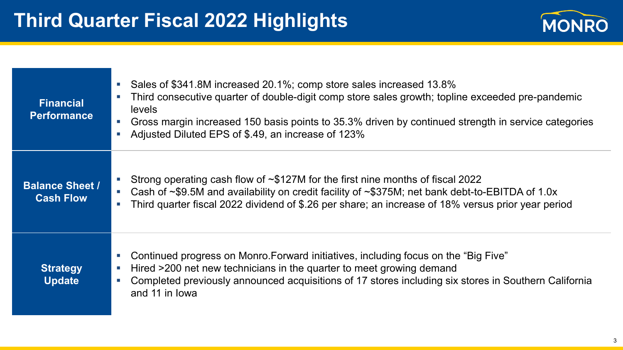

| <b>Financial</b><br><b>Performance</b>     | Sales of \$341.8M increased 20.1%; comp store sales increased 13.8%<br>$\mathcal{L}_{\mathcal{A}}$<br>Third consecutive quarter of double-digit comp store sales growth; topline exceeded pre-pandemic<br>$\mathcal{L}_{\mathcal{A}}$<br><b>levels</b><br>Gross margin increased 150 basis points to 35.3% driven by continued strength in service categories<br>$\mathcal{L}_{\mathcal{A}}$<br>Adjusted Diluted EPS of \$.49, an increase of 123% |
|--------------------------------------------|----------------------------------------------------------------------------------------------------------------------------------------------------------------------------------------------------------------------------------------------------------------------------------------------------------------------------------------------------------------------------------------------------------------------------------------------------|
| <b>Balance Sheet /</b><br><b>Cash Flow</b> | Strong operating cash flow of $\sim$ \$127M for the first nine months of fiscal 2022<br>Cash of $\sim$ \$9.5M and availability on credit facility of $\sim$ \$375M; net bank debt-to-EBITDA of 1.0x<br>$\mathcal{L}_{\mathcal{A}}$<br>Third quarter fiscal 2022 dividend of \$.26 per share; an increase of 18% versus prior year period<br>$\mathcal{L}_{\mathcal{A}}$                                                                            |
| <b>Strategy</b><br><b>Update</b>           | Continued progress on Monro. Forward initiatives, including focus on the "Big Five"<br>$\mathcal{L}_{\mathcal{A}}$<br>Hired >200 net new technicians in the quarter to meet growing demand<br>$\overline{\phantom{a}}$<br>Completed previously announced acquisitions of 17 stores including six stores in Southern California<br>$\mathcal{L}_{\mathcal{A}}$<br>and 11 in lowa                                                                    |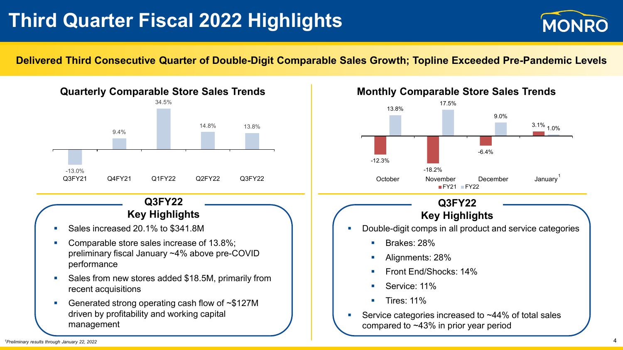# **Third Quarter Fiscal 2022 Highlights**



#### **Delivered Third Consecutive Quarter of Double-Digit Comparable Sales Growth; Topline Exceeded Pre-Pandemic Levels**



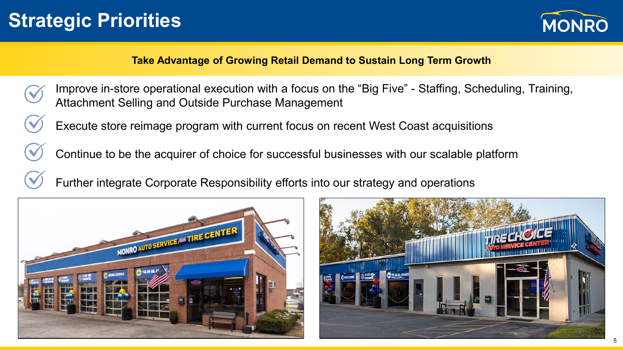# **Strategic Priorities**



### **Take Advantage of Growing Retail Demand to Sustain Long Term Growth**

- Improve in-store operational execution with a focus on the "Big Five" Staffing, Scheduling, Training, Attachment Selling and Outside Purchase Management
	- Execute store reimage program with current focus on recent West Coast acquisitions
	- Continue to be the acquirer of choice for successful businesses with our scalable platform
	- Further integrate Corporate Responsibility efforts into our strategy and operations



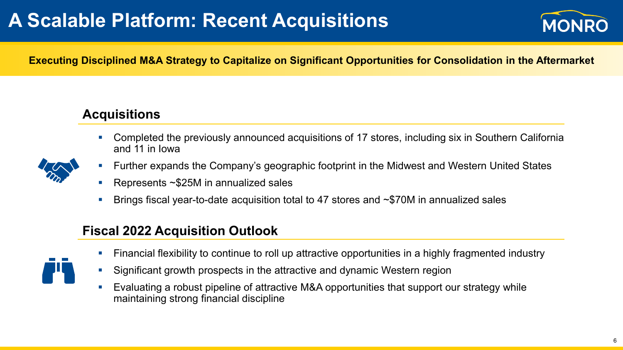# **A Scalable Platform: Recent Acquisitions**



**Executing Disciplined M&A Strategy to Capitalize on Significant Opportunities for Consolidation in the Aftermarket**

### **Acquisitions**

 Completed the previously announced acquisitions of 17 stores, including six in Southern California and 11 in Iowa



- Further expands the Company's geographic footprint in the Midwest and Western United States
- Represents ~\$25M in annualized sales
- Brings fiscal year-to-date acquisition total to 47 stores and ~\$70M in annualized sales

### **Fiscal 2022 Acquisition Outlook**



- Financial flexibility to continue to roll up attractive opportunities in a highly fragmented industry
- Significant growth prospects in the attractive and dynamic Western region
- Evaluating a robust pipeline of attractive M&A opportunities that support our strategy while maintaining strong financial discipline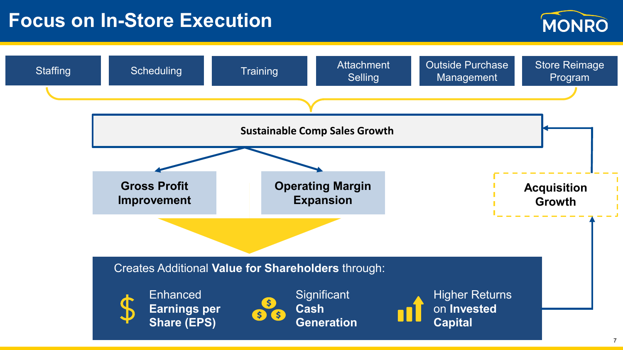### **Focus on In-Store Execution**



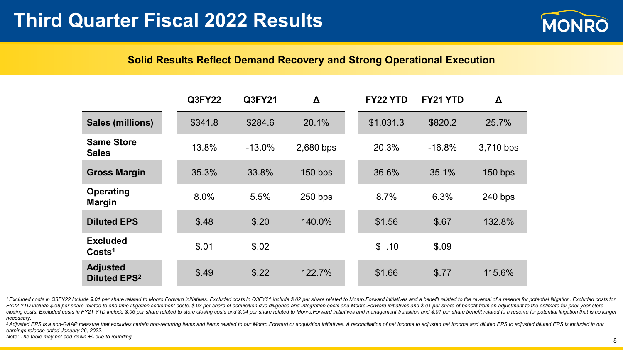

#### **Solid Results Reflect Demand Recovery and Strong Operational Execution**

|                                                   | <b>Q3FY22</b> | Q3FY21   | Δ         | FY22 YTD  | FY21 YTD | Δ         |
|---------------------------------------------------|---------------|----------|-----------|-----------|----------|-----------|
| <b>Sales (millions)</b>                           | \$341.8       | \$284.6  | 20.1%     | \$1,031.3 | \$820.2  | 25.7%     |
| <b>Same Store</b><br><b>Sales</b>                 | 13.8%         | $-13.0%$ | 2,680 bps | 20.3%     | $-16.8%$ | 3,710 bps |
| <b>Gross Margin</b>                               | 35.3%         | 33.8%    | $150$ bps | 36.6%     | 35.1%    | $150$ bps |
| Operating<br><b>Margin</b>                        | 8.0%          | 5.5%     | $250$ bps | 8.7%      | 6.3%     | $240$ bps |
| <b>Diluted EPS</b>                                | \$.48         | \$.20    | 140.0%    | \$1.56    | \$.67    | 132.8%    |
| <b>Excluded</b><br>Costs <sup>1</sup>             | \$.01         | \$.02    |           | \$.10     | \$.09    |           |
| <b>Adjusted</b><br><b>Diluted EPS<sup>2</sup></b> | \$.49         | \$.22    | 122.7%    | \$1.66    | \$.77    | 115.6%    |

<sup>1</sup> Excluded costs in Q3FY22 include \$.01 per share related to Monro.Forward initiatives. Excluded costs in Q3FY21 include \$.02 per share related to Monro.Forward initiatives and a benefit related to the reversal of a rese FY22 YTD include \$.08 per share related to one-time litigation settlement costs, \$.03 per share of acquisition due diligence and integration costs and Monro. Forward initiatives and \$.01 per share of benefit from an adjust closing costs. Excluded costs in FY21 YTD include \$.06 per share related to store closing costs and \$.04 per share related to Monro. Forward initiatives and management transition and \$.01 per share benefit related to a res *necessary.*

<sup>2</sup> Adjusted EPS is a non-GAAP measure that excludes certain non-recurring items and items related to our Monro.Forward or acquisition initiatives. A reconciliation of net income to adjusted net income and diluted EPS to a *earnings release dated January 26, 2022.*

*Note: The table may not add down +/- due to rounding.* <sup>8</sup>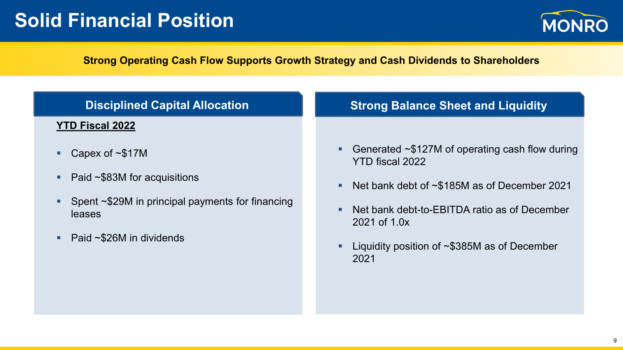## **Solid Financial Position**



### **Strong Operating Cash Flow Supports Growth Strategy and Cash Dividends to Shareholders**

| <b>Disciplined Capital Allocation</b>                      | <b>Strong Balance Sheet and Liquidity</b>                                     |
|------------------------------------------------------------|-------------------------------------------------------------------------------|
| <b>YTD Fiscal 2022</b>                                     |                                                                               |
| Capex of $\sim$ \$17M                                      | Generated $\sim$ \$127M of operating cash flow during<br>п<br>YTD fiscal 2022 |
| Paid ~\$83M for acquisitions                               | Net bank debt of $\sim$ \$185M as of December 2021<br>п                       |
| Spent ~\$29M in principal payments for financing<br>leases | Net bank debt-to-EBITDA ratio as of December<br>П<br>2021 of 1.0x             |
| Paid $\sim$ \$26M in dividends                             | Liquidity position of $\sim$ \$385M as of December<br>Ξ<br>2021               |
|                                                            |                                                                               |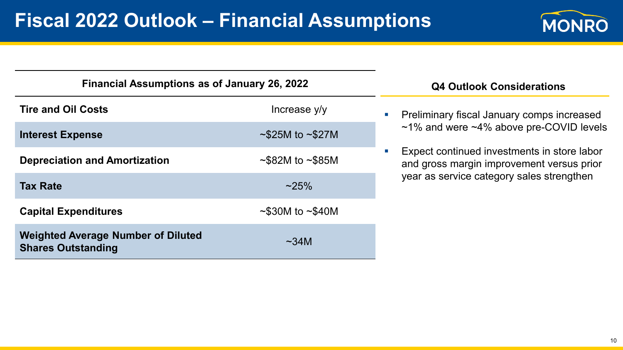

| <b>Financial Assumptions as of January 26, 2022</b>                    |                              |  |  |  |  |
|------------------------------------------------------------------------|------------------------------|--|--|--|--|
| <b>Tire and Oil Costs</b>                                              | Increase y/y                 |  |  |  |  |
| <b>Interest Expense</b>                                                | $\sim$ \$25M to $\sim$ \$27M |  |  |  |  |
| <b>Depreciation and Amortization</b>                                   | $\sim$ \$82M to $\sim$ \$85M |  |  |  |  |
| <b>Tax Rate</b>                                                        | $~25\%$                      |  |  |  |  |
| <b>Capital Expenditures</b>                                            | $\sim$ \$30M to $\sim$ \$40M |  |  |  |  |
| <b>Weighted Average Number of Diluted</b><br><b>Shares Outstanding</b> | $\sim$ 34M                   |  |  |  |  |

#### **Q4 Outlook Considerations**

**Preliminary fiscal January comps increased** ~1% and were ~4% above pre-COVID levels

**Expect continued investments in store labor** and gross margin improvement versus prior year as service category sales strengthen